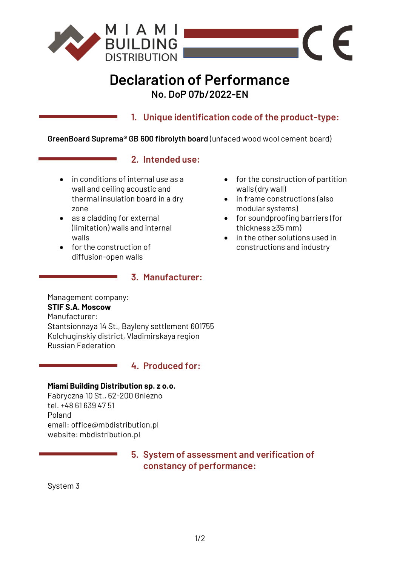

# **Declaration of Performance No. DoP 07b/2022-EN**

**1. Unique identification code of the product-type:**

**GreenBoard Suprema® GB 600 fibrolyth board** (unfaced wood wool cement board)

#### **2. Intended use:**

- in conditions of internal use as a wall and ceiling acoustic and thermal insulation board in a dry zone
- as a cladding for external (limitation) walls and internal walls
- for the construction of diffusion-open walls

#### **3. Manufacturer:**

• for the construction of partition walls (dry wall)

 $\epsilon$ 

- in frame constructions (also modular systems)
- for soundproofing barriers (for thickness ≥35 mm)
- in the other solutions used in constructions and industry

Management company: **STIF S.A. Moscow** Manufacturer: Stantsionnaya 14 St., Bayleny settlement 601755 Kolchuginskiy district, Vladimirskaya region Russian Federation

#### **4. Produced for:**

#### **Miami Building Distribution sp. z o.o.**

Fabryczna 10 St., 62-200 Gniezno tel. +48 61 639 47 51 Poland email: office@mbdistribution.pl website: mbdistribution.pl

## **5. System of assessment and verification of constancy of performance:**

System 3